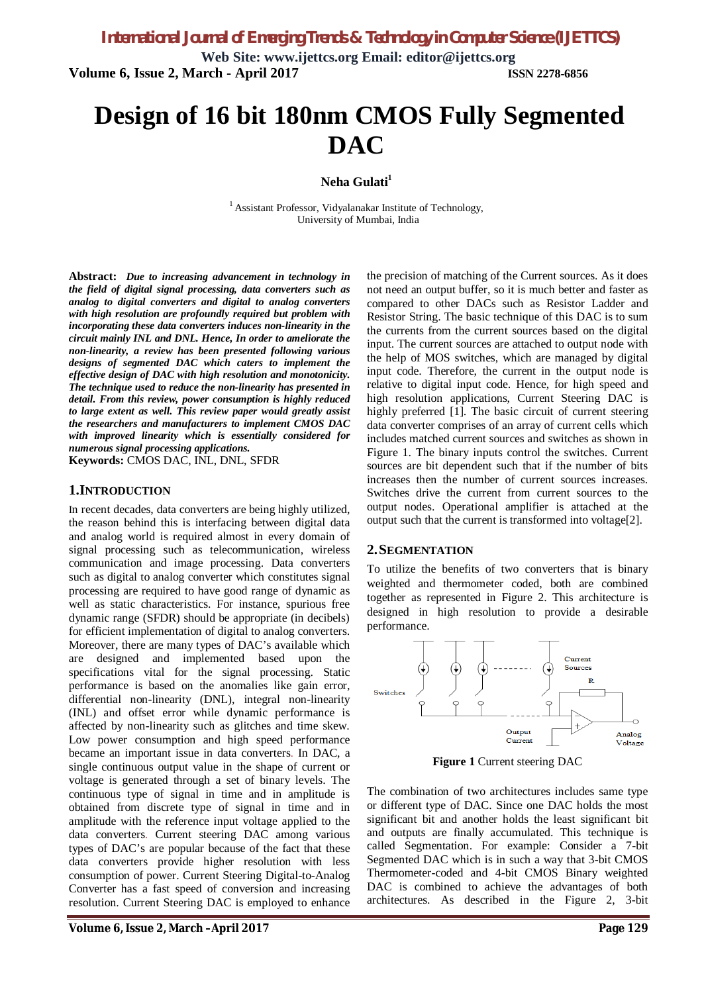**Web Site: www.ijettcs.org Email: editor@ijettcs.org Volume 6, Issue 2, March - April 2017 ISSN 2278-6856**

# **Design of 16 bit 180nm CMOS Fully Segmented DAC**

**Neha Gulati<sup>1</sup>**

<sup>1</sup> Assistant Professor, Vidyalanakar Institute of Technology, University of Mumbai, India

**Abstract:** *Due to increasing advancement in technology in the field of digital signal processing, data converters such as analog to digital converters and digital to analog converters with high resolution are profoundly required but problem with incorporating these data converters induces non-linearity in the circuit mainly INL and DNL. Hence, In order to ameliorate the non-linearity, a review has been presented following various designs of segmented DAC which caters to implement the effective design of DAC with high resolution and monotonicity. The technique used to reduce the non-linearity has presented in detail. From this review, power consumption is highly reduced to large extent as well. This review paper would greatly assist the researchers and manufacturers to implement CMOS DAC with improved linearity which is essentially considered for numerous signal processing applications.*

**Keywords:** CMOS DAC, INL, DNL, SFDR

#### **1.INTRODUCTION**

In recent decades, data converters are being highly utilized, the reason behind this is interfacing between digital data and analog world is required almost in every domain of signal processing such as telecommunication, wireless communication and image processing. Data converters such as digital to analog converter which constitutes signal processing are required to have good range of dynamic as well as static characteristics. For instance, spurious free dynamic range (SFDR) should be appropriate (in decibels) for efficient implementation of digital to analog converters. Moreover, there are many types of DAC's available which are designed and implemented based upon the specifications vital for the signal processing. Static performance is based on the anomalies like gain error, differential non-linearity (DNL), integral non-linearity (INL) and offset error while dynamic performance is affected by non-linearity such as glitches and time skew. Low power consumption and high speed performance became an important issue in data converters. In DAC, a single continuous output value in the shape of current or voltage is generated through a set of binary levels. The continuous type of signal in time and in amplitude is obtained from discrete type of signal in time and in amplitude with the reference input voltage applied to the data converters. Current steering DAC among various types of DAC's are popular because of the fact that these data converters provide higher resolution with less consumption of power. Current Steering Digital-to-Analog Converter has a fast speed of conversion and increasing resolution. Current Steering DAC is employed to enhance

**Volume 6, Issue 2, March –April 2017 Page 129**

the precision of matching of the Current sources. As it does not need an output buffer, so it is much better and faster as compared to other DACs such as Resistor Ladder and Resistor String. The basic technique of this DAC is to sum the currents from the current sources based on the digital input. The current sources are attached to output node with the help of MOS switches, which are managed by digital input code. Therefore, the current in the output node is relative to digital input code. Hence, for high speed and high resolution applications, Current Steering DAC is highly preferred [1]. The basic circuit of current steering data converter comprises of an array of current cells which includes matched current sources and switches as shown in Figure 1. The binary inputs control the switches. Current sources are bit dependent such that if the number of bits increases then the number of current sources increases. Switches drive the current from current sources to the output nodes. Operational amplifier is attached at the output such that the current is transformed into voltage[2].

#### **2.SEGMENTATION**

To utilize the benefits of two converters that is binary weighted and thermometer coded, both are combined together as represented in Figure 2. This architecture is designed in high resolution to provide a desirable performance.



**Figure 1** Current steering DAC

The combination of two architectures includes same type or different type of DAC. Since one DAC holds the most significant bit and another holds the least significant bit and outputs are finally accumulated. This technique is called Segmentation. For example: Consider a 7-bit Segmented DAC which is in such a way that 3-bit CMOS Thermometer-coded and 4-bit CMOS Binary weighted DAC is combined to achieve the advantages of both architectures. As described in the Figure 2, 3-bit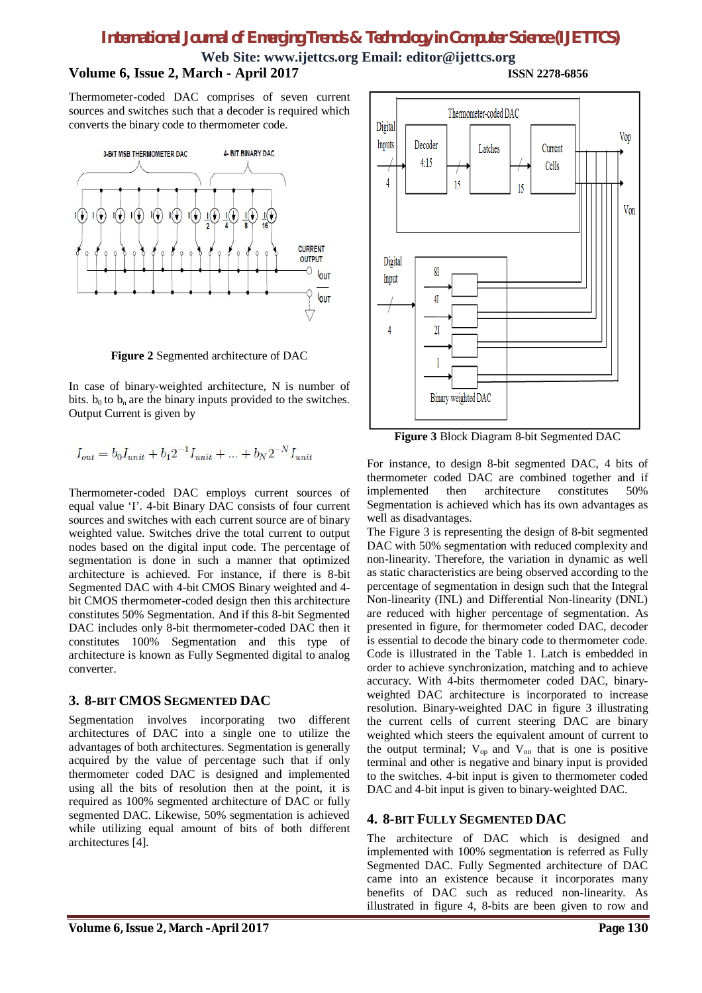## *International Journal of Emerging Trends & Technology in Computer Science (IJETTCS)*

**Web Site: www.ijettcs.org Email: editor@ijettcs.org**

### **Volume 6, Issue 2, March - April 2017 ISSN 2278-6856**

Thermometer-coded DAC comprises of seven current sources and switches such that a decoder is required which converts the binary code to thermometer code.



**Figure 2** Segmented architecture of DAC

In case of binary-weighted architecture, N is number of bits.  $b_0$  to  $b_n$  are the binary inputs provided to the switches. Output Current is given by

$$
I_{out} = b_0 I_{unit} + b_1 2^{-1} I_{unit} + \dots + b_N 2^{-N} I_{unit}
$$

Thermometer-coded DAC employs current sources of equal value 'I'. 4-bit Binary DAC consists of four current sources and switches with each current source are of binary weighted value. Switches drive the total current to output nodes based on the digital input code. The percentage of segmentation is done in such a manner that optimized architecture is achieved. For instance, if there is 8-bit Segmented DAC with 4-bit CMOS Binary weighted and 4 bit CMOS thermometer-coded design then this architecture constitutes 50% Segmentation. And if this 8-bit Segmented DAC includes only 8-bit thermometer-coded DAC then it constitutes 100% Segmentation and this type of architecture is known as Fully Segmented digital to analog converter.

#### **3. 8-BIT CMOS SEGMENTED DAC**

Segmentation involves incorporating two different architectures of DAC into a single one to utilize the advantages of both architectures. Segmentation is generally acquired by the value of percentage such that if only thermometer coded DAC is designed and implemented using all the bits of resolution then at the point, it is required as 100% segmented architecture of DAC or fully segmented DAC. Likewise, 50% segmentation is achieved while utilizing equal amount of bits of both different architectures [4].



**Figure 3** Block Diagram 8-bit Segmented DAC

For instance, to design 8-bit segmented DAC, 4 bits of thermometer coded DAC are combined together and if implemented then architecture constitutes 50% Segmentation is achieved which has its own advantages as well as disadvantages.

The Figure 3 is representing the design of 8-bit segmented DAC with 50% segmentation with reduced complexity and non-linearity. Therefore, the variation in dynamic as well as static characteristics are being observed according to the percentage of segmentation in design such that the Integral Non-linearity (INL) and Differential Non-linearity (DNL) are reduced with higher percentage of segmentation. As presented in figure, for thermometer coded DAC, decoder is essential to decode the binary code to thermometer code. Code is illustrated in the Table 1. Latch is embedded in order to achieve synchronization, matching and to achieve accuracy. With 4-bits thermometer coded DAC, binaryweighted DAC architecture is incorporated to increase resolution. Binary-weighted DAC in figure 3 illustrating the current cells of current steering DAC are binary weighted which steers the equivalent amount of current to the output terminal;  $V_{op}$  and  $V_{on}$  that is one is positive terminal and other is negative and binary input is provided to the switches. 4-bit input is given to thermometer coded DAC and 4-bit input is given to binary-weighted DAC.

#### **4. 8-BIT FULLY SEGMENTED DAC**

The architecture of DAC which is designed and implemented with 100% segmentation is referred as Fully Segmented DAC. Fully Segmented architecture of DAC came into an existence because it incorporates many benefits of DAC such as reduced non-linearity. As illustrated in figure 4, 8-bits are been given to row and